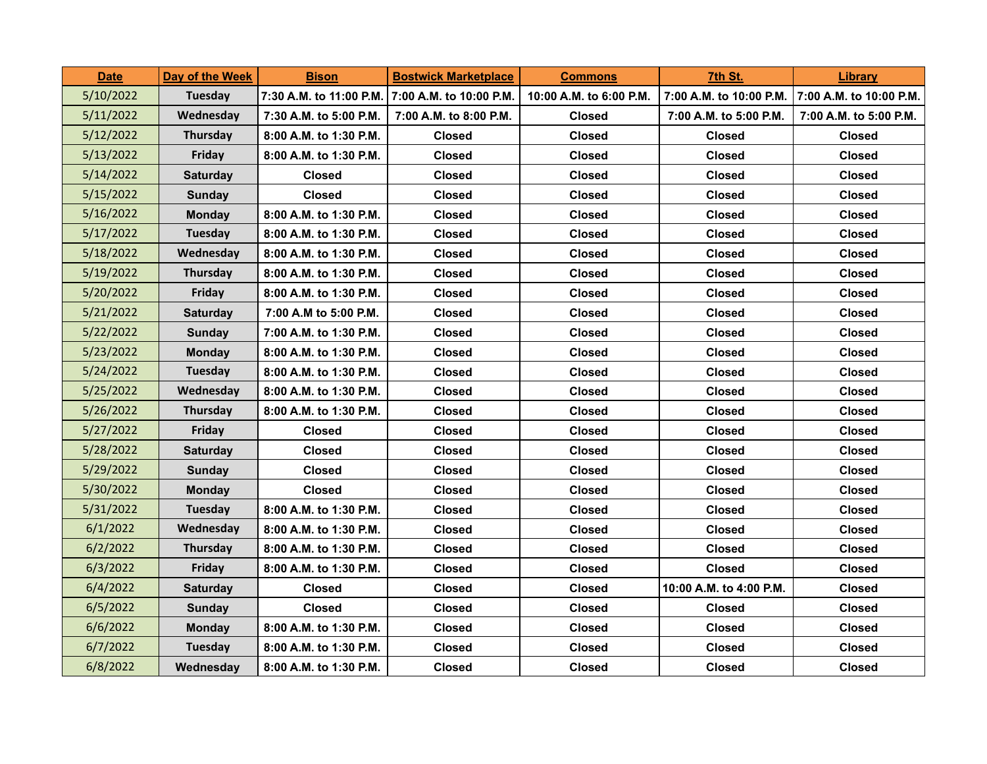| <b>Date</b> | Day of the Week | <u>Bison</u>            | <b>Bostwick Marketplace</b> | <b>Commons</b>          | 7th St.                 | Library                 |
|-------------|-----------------|-------------------------|-----------------------------|-------------------------|-------------------------|-------------------------|
| 5/10/2022   | Tuesday         | 7:30 A.M. to 11:00 P.M. | 7:00 A.M. to 10:00 P.M.     | 10:00 A.M. to 6:00 P.M. | 7:00 A.M. to 10:00 P.M. | 7:00 A.M. to 10:00 P.M. |
| 5/11/2022   | Wednesday       | 7:30 A.M. to 5:00 P.M.  | 7:00 A.M. to 8:00 P.M.      | <b>Closed</b>           | 7:00 A.M. to 5:00 P.M.  | 7:00 A.M. to 5:00 P.M.  |
| 5/12/2022   | Thursday        | 8:00 A.M. to 1:30 P.M.  | <b>Closed</b>               | <b>Closed</b>           | <b>Closed</b>           | <b>Closed</b>           |
| 5/13/2022   | Friday          | 8:00 A.M. to 1:30 P.M.  | <b>Closed</b>               | <b>Closed</b>           | <b>Closed</b>           | <b>Closed</b>           |
| 5/14/2022   | <b>Saturday</b> | Closed                  | <b>Closed</b>               | Closed                  | Closed                  | <b>Closed</b>           |
| 5/15/2022   | <b>Sunday</b>   | <b>Closed</b>           | <b>Closed</b>               | <b>Closed</b>           | <b>Closed</b>           | <b>Closed</b>           |
| 5/16/2022   | <b>Monday</b>   | 8:00 A.M. to 1:30 P.M.  | Closed                      | Closed                  | <b>Closed</b>           | <b>Closed</b>           |
| 5/17/2022   | Tuesday         | 8:00 A.M. to 1:30 P.M.  | <b>Closed</b>               | <b>Closed</b>           | <b>Closed</b>           | <b>Closed</b>           |
| 5/18/2022   | Wednesday       | 8:00 A.M. to 1:30 P.M.  | <b>Closed</b>               | <b>Closed</b>           | <b>Closed</b>           | <b>Closed</b>           |
| 5/19/2022   | Thursday        | 8:00 A.M. to 1:30 P.M.  | <b>Closed</b>               | Closed                  | Closed                  | <b>Closed</b>           |
| 5/20/2022   | Friday          | 8:00 A.M. to 1:30 P.M.  | <b>Closed</b>               | Closed                  | <b>Closed</b>           | <b>Closed</b>           |
| 5/21/2022   | <b>Saturday</b> | 7:00 A.M to 5:00 P.M.   | <b>Closed</b>               | Closed                  | <b>Closed</b>           | <b>Closed</b>           |
| 5/22/2022   | <b>Sunday</b>   | 7:00 A.M. to 1:30 P.M.  | <b>Closed</b>               | <b>Closed</b>           | <b>Closed</b>           | <b>Closed</b>           |
| 5/23/2022   | <b>Monday</b>   | 8:00 A.M. to 1:30 P.M.  | <b>Closed</b>               | <b>Closed</b>           | <b>Closed</b>           | <b>Closed</b>           |
| 5/24/2022   | Tuesday         | 8:00 A.M. to 1:30 P.M.  | <b>Closed</b>               | <b>Closed</b>           | Closed                  | <b>Closed</b>           |
| 5/25/2022   | Wednesday       | 8:00 A.M. to 1:30 P.M.  | <b>Closed</b>               | <b>Closed</b>           | Closed                  | <b>Closed</b>           |
| 5/26/2022   | <b>Thursday</b> | 8:00 A.M. to 1:30 P.M.  | <b>Closed</b>               | Closed                  | Closed                  | <b>Closed</b>           |
| 5/27/2022   | Friday          | Closed                  | <b>Closed</b>               | <b>Closed</b>           | <b>Closed</b>           | <b>Closed</b>           |
| 5/28/2022   | <b>Saturday</b> | Closed                  | <b>Closed</b>               | <b>Closed</b>           | <b>Closed</b>           | <b>Closed</b>           |
| 5/29/2022   | <b>Sunday</b>   | Closed                  | <b>Closed</b>               | <b>Closed</b>           | Closed                  | <b>Closed</b>           |
| 5/30/2022   | <b>Monday</b>   | Closed                  | <b>Closed</b>               | <b>Closed</b>           | <b>Closed</b>           | <b>Closed</b>           |
| 5/31/2022   | Tuesday         | 8:00 A.M. to 1:30 P.M.  | <b>Closed</b>               | <b>Closed</b>           | <b>Closed</b>           | <b>Closed</b>           |
| 6/1/2022    | Wednesday       | 8:00 A.M. to 1:30 P.M.  | <b>Closed</b>               | <b>Closed</b>           | Closed                  | <b>Closed</b>           |
| 6/2/2022    | Thursday        | 8:00 A.M. to 1:30 P.M.  | <b>Closed</b>               | <b>Closed</b>           | <b>Closed</b>           | <b>Closed</b>           |
| 6/3/2022    | Friday          | 8:00 A.M. to 1:30 P.M.  | <b>Closed</b>               | <b>Closed</b>           | <b>Closed</b>           | <b>Closed</b>           |
| 6/4/2022    | <b>Saturday</b> | Closed                  | <b>Closed</b>               | Closed                  | 10:00 A.M. to 4:00 P.M. | <b>Closed</b>           |
| 6/5/2022    | Sunday          | Closed                  | <b>Closed</b>               | <b>Closed</b>           | Closed                  | <b>Closed</b>           |
| 6/6/2022    | <b>Monday</b>   | 8:00 A.M. to 1:30 P.M.  | <b>Closed</b>               | <b>Closed</b>           | Closed                  | <b>Closed</b>           |
| 6/7/2022    | <b>Tuesday</b>  | 8:00 A.M. to 1:30 P.M.  | <b>Closed</b>               | Closed                  | <b>Closed</b>           | <b>Closed</b>           |
| 6/8/2022    | Wednesday       | 8:00 A.M. to 1:30 P.M.  | <b>Closed</b>               | <b>Closed</b>           | <b>Closed</b>           | <b>Closed</b>           |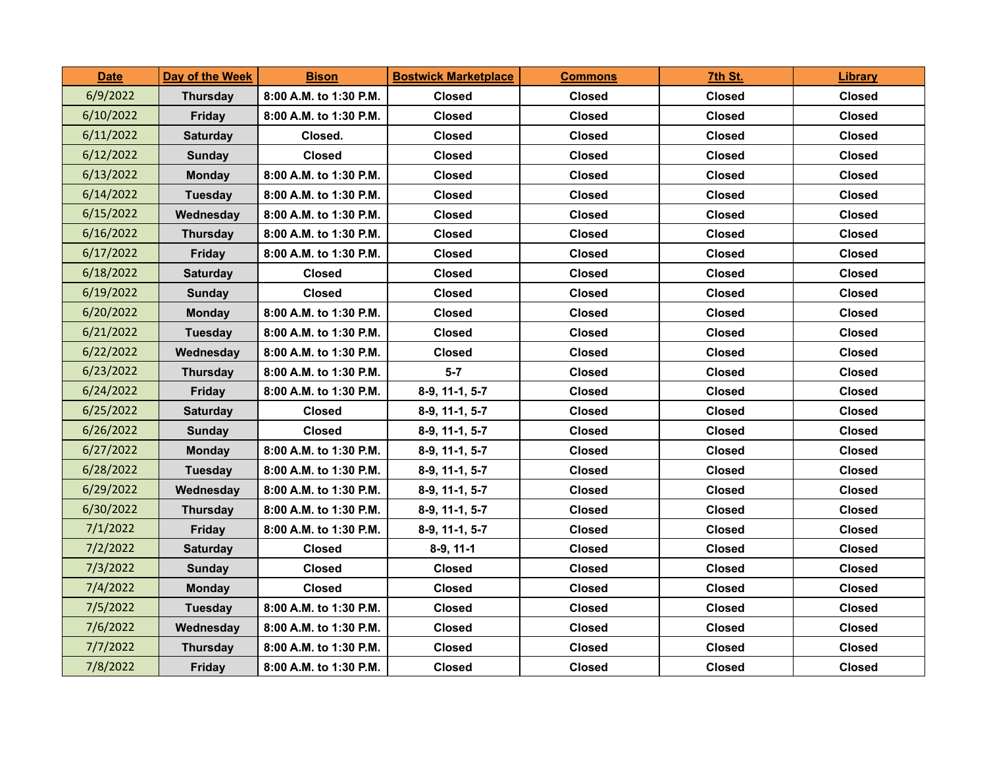| <b>Date</b> | Day of the Week | <b>Bison</b>           | <b>Bostwick Marketplace</b> | <b>Commons</b> | 7th St.       | Library       |
|-------------|-----------------|------------------------|-----------------------------|----------------|---------------|---------------|
| 6/9/2022    | <b>Thursday</b> | 8:00 A.M. to 1:30 P.M. | <b>Closed</b>               | <b>Closed</b>  | <b>Closed</b> | <b>Closed</b> |
| 6/10/2022   | <b>Friday</b>   | 8:00 A.M. to 1:30 P.M. | <b>Closed</b>               | <b>Closed</b>  | <b>Closed</b> | <b>Closed</b> |
| 6/11/2022   | <b>Saturday</b> | Closed.                | <b>Closed</b>               | <b>Closed</b>  | Closed        | <b>Closed</b> |
| 6/12/2022   | <b>Sunday</b>   | Closed                 | <b>Closed</b>               | <b>Closed</b>  | Closed        | <b>Closed</b> |
| 6/13/2022   | <b>Monday</b>   | 8:00 A.M. to 1:30 P.M. | Closed                      | Closed         | Closed        | <b>Closed</b> |
| 6/14/2022   | <b>Tuesday</b>  | 8:00 A.M. to 1:30 P.M. | <b>Closed</b>               | <b>Closed</b>  | <b>Closed</b> | <b>Closed</b> |
| 6/15/2022   | Wednesday       | 8:00 A.M. to 1:30 P.M. | <b>Closed</b>               | <b>Closed</b>  | Closed        | <b>Closed</b> |
| 6/16/2022   | <b>Thursday</b> | 8:00 A.M. to 1:30 P.M. | <b>Closed</b>               | <b>Closed</b>  | <b>Closed</b> | <b>Closed</b> |
| 6/17/2022   | <b>Friday</b>   | 8:00 A.M. to 1:30 P.M. | <b>Closed</b>               | <b>Closed</b>  | Closed        | <b>Closed</b> |
| 6/18/2022   | <b>Saturday</b> | Closed                 | Closed                      | Closed         | Closed        | <b>Closed</b> |
| 6/19/2022   | <b>Sunday</b>   | Closed                 | <b>Closed</b>               | <b>Closed</b>  | Closed        | <b>Closed</b> |
| 6/20/2022   | <b>Monday</b>   | 8:00 A.M. to 1:30 P.M. | <b>Closed</b>               | Closed         | Closed        | <b>Closed</b> |
| 6/21/2022   | <b>Tuesday</b>  | 8:00 A.M. to 1:30 P.M. | <b>Closed</b>               | <b>Closed</b>  | <b>Closed</b> | <b>Closed</b> |
| 6/22/2022   | Wednesday       | 8:00 A.M. to 1:30 P.M. | <b>Closed</b>               | <b>Closed</b>  | <b>Closed</b> | <b>Closed</b> |
| 6/23/2022   | <b>Thursday</b> | 8:00 A.M. to 1:30 P.M. | $5 - 7$                     | <b>Closed</b>  | Closed        | <b>Closed</b> |
| 6/24/2022   | <b>Friday</b>   | 8:00 A.M. to 1:30 P.M. | 8-9, 11-1, 5-7              | <b>Closed</b>  | <b>Closed</b> | <b>Closed</b> |
| 6/25/2022   | <b>Saturday</b> | Closed                 | 8-9, 11-1, 5-7              | Closed         | Closed        | <b>Closed</b> |
| 6/26/2022   | <b>Sunday</b>   | <b>Closed</b>          | 8-9, 11-1, 5-7              | <b>Closed</b>  | Closed        | <b>Closed</b> |
| 6/27/2022   | <b>Monday</b>   | 8:00 A.M. to 1:30 P.M. | 8-9, 11-1, 5-7              | <b>Closed</b>  | <b>Closed</b> | <b>Closed</b> |
| 6/28/2022   | <b>Tuesday</b>  | 8:00 A.M. to 1:30 P.M. | 8-9, 11-1, 5-7              | <b>Closed</b>  | <b>Closed</b> | <b>Closed</b> |
| 6/29/2022   | Wednesdav       | 8:00 A.M. to 1:30 P.M. | $8-9, 11-1, 5-7$            | <b>Closed</b>  | <b>Closed</b> | <b>Closed</b> |
| 6/30/2022   | <b>Thursday</b> | 8:00 A.M. to 1:30 P.M. | 8-9, 11-1, 5-7              | Closed         | Closed        | <b>Closed</b> |
| 7/1/2022    | <b>Friday</b>   | 8:00 A.M. to 1:30 P.M. | 8-9, 11-1, 5-7              | <b>Closed</b>  | Closed        | <b>Closed</b> |
| 7/2/2022    | <b>Saturday</b> | <b>Closed</b>          | $8-9, 11-1$                 | <b>Closed</b>  | <b>Closed</b> | <b>Closed</b> |
| 7/3/2022    | <b>Sunday</b>   | <b>Closed</b>          | <b>Closed</b>               | <b>Closed</b>  | Closed        | <b>Closed</b> |
| 7/4/2022    | <b>Monday</b>   | Closed                 | <b>Closed</b>               | <b>Closed</b>  | Closed        | <b>Closed</b> |
| 7/5/2022    | Tuesday         | 8:00 A.M. to 1:30 P.M. | <b>Closed</b>               | <b>Closed</b>  | Closed        | <b>Closed</b> |
| 7/6/2022    | Wednesday       | 8:00 A.M. to 1:30 P.M. | <b>Closed</b>               | <b>Closed</b>  | <b>Closed</b> | <b>Closed</b> |
| 7/7/2022    | <b>Thursday</b> | 8:00 A.M. to 1:30 P.M. | <b>Closed</b>               | <b>Closed</b>  | <b>Closed</b> | <b>Closed</b> |
| 7/8/2022    | <b>Friday</b>   | 8:00 A.M. to 1:30 P.M. | <b>Closed</b>               | <b>Closed</b>  | <b>Closed</b> | <b>Closed</b> |